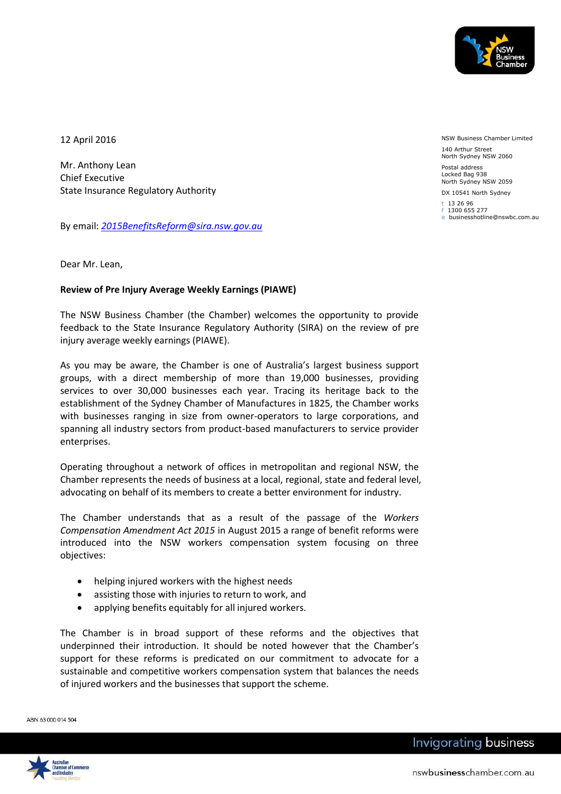

12 April 2016

Mr. Anthony Lean Chief Executive State Insurance Regulatory Authority

By email: *[2015BenefitsReform@sira.nsw.gov.au](mailto:2015BenefitsReform@sira.nsw.gov.au)*

NSW Business Chamber Limited 140 Arthur Street North Sydney NSW 2060

Postal address Locked Bag 938 North Sydney NSW 2059

DX 10541 North Sydney t 13 26 96

f 1300 655 277 e businesshotline@nswbc.com.au

Dear Mr. Lean,

## **Review of Pre Injury Average Weekly Earnings (PIAWE)**

The NSW Business Chamber (the Chamber) welcomes the opportunity to provide feedback to the State Insurance Regulatory Authority (SIRA) on the review of pre injury average weekly earnings (PIAWE).

As you may be aware, the Chamber is one of Australia's largest business support groups, with a direct membership of more than 19,000 businesses, providing services to over 30,000 businesses each year. Tracing its heritage back to the establishment of the Sydney Chamber of Manufactures in 1825, the Chamber works with businesses ranging in size from owner-operators to large corporations, and spanning all industry sectors from product-based manufacturers to service provider enterprises.

Operating throughout a network of offices in metropolitan and regional NSW, the Chamber represents the needs of business at a local, regional, state and federal level, advocating on behalf of its members to create a better environment for industry.

The Chamber understands that as a result of the passage of the *Workers Compensation Amendment Act 2015* in August 2015 a range of benefit reforms were introduced into the NSW workers compensation system focusing on three objectives:

- helping injured workers with the highest needs
- assisting those with injuries to return to work, and
- applying benefits equitably for all injured workers.

The Chamber is in broad support of these reforms and the objectives that underpinned their introduction. It should be noted however that the Chamber's support for these reforms is predicated on our commitment to advocate for a sustainable and competitive workers compensation system that balances the needs of injured workers and the businesses that support the scheme.

ABN 63 000 014 504

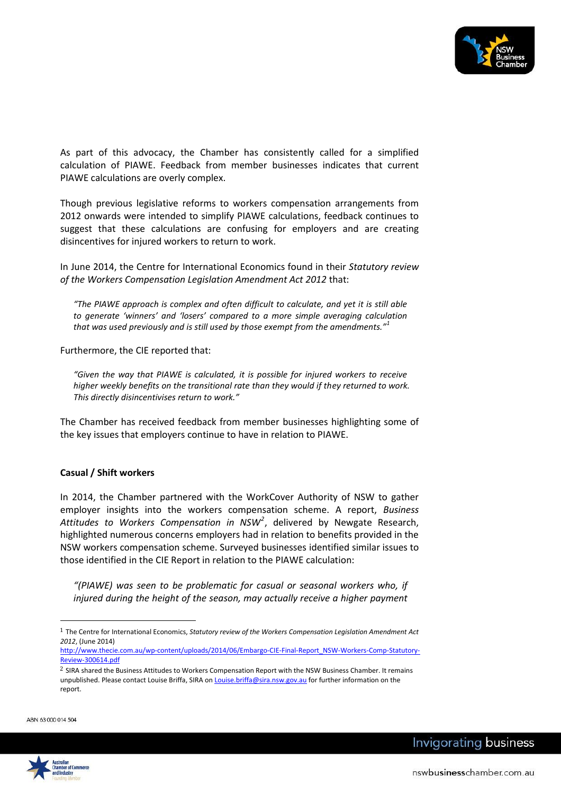

As part of this advocacy, the Chamber has consistently called for a simplified calculation of PIAWE. Feedback from member businesses indicates that current PIAWE calculations are overly complex.

Though previous legislative reforms to workers compensation arrangements from 2012 onwards were intended to simplify PIAWE calculations, feedback continues to suggest that these calculations are confusing for employers and are creating disincentives for injured workers to return to work.

In June 2014, the Centre for International Economics found in their *Statutory review of the Workers Compensation Legislation Amendment Act 2012* that:

*"The PIAWE approach is complex and often difficult to calculate, and yet it is still able to generate 'winners' and 'losers' compared to a more simple averaging calculation that was used previously and is still used by those exempt from the amendments."<sup>1</sup>*

Furthermore, the CIE reported that:

*"Given the way that PIAWE is calculated, it is possible for injured workers to receive higher weekly benefits on the transitional rate than they would if they returned to work. This directly disincentivises return to work."*

The Chamber has received feedback from member businesses highlighting some of the key issues that employers continue to have in relation to PIAWE.

## **Casual / Shift workers**

In 2014, the Chamber partnered with the WorkCover Authority of NSW to gather employer insights into the workers compensation scheme. A report, *Business Attitudes to Workers Compensation in NSW<sup>2</sup>* , delivered by Newgate Research, highlighted numerous concerns employers had in relation to benefits provided in the NSW workers compensation scheme. Surveyed businesses identified similar issues to those identified in the CIE Report in relation to the PIAWE calculation:

*"(PIAWE) was seen to be problematic for casual or seasonal workers who, if injured during the height of the season, may actually receive a higher payment* 

ABN 63 000 014 504

 $\overline{a}$ 



<sup>1</sup> The Centre for International Economics, *Statutory review of the Workers Compensation Legislation Amendment Act 2012*, (June 2014)

[http://www.thecie.com.au/wp-content/uploads/2014/06/Embargo-CIE-Final-Report\\_NSW-Workers-Comp-Statutory-](http://www.thecie.com.au/wp-content/uploads/2014/06/Embargo-CIE-Final-Report_NSW-Workers-Comp-Statutory-Review-300614.pdf)[Review-300614.pdf](http://www.thecie.com.au/wp-content/uploads/2014/06/Embargo-CIE-Final-Report_NSW-Workers-Comp-Statutory-Review-300614.pdf)

<sup>&</sup>lt;sup>2</sup> SIRA shared the Business Attitudes to Workers Compensation Report with the NSW Business Chamber. It remains unpublished. Please contact Louise Briffa, SIRA o[n Louise.briffa@sira.nsw.gov.au](mailto:Louise.briffa@sira.nsw.gov.au) for further information on the report.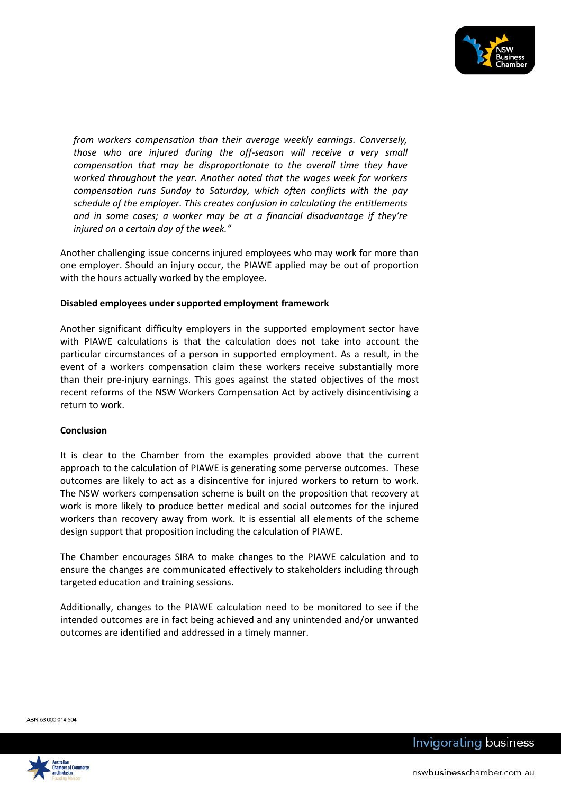

*from workers compensation than their average weekly earnings. Conversely, those who are injured during the off-season will receive a very small compensation that may be disproportionate to the overall time they have worked throughout the year. Another noted that the wages week for workers compensation runs Sunday to Saturday, which often conflicts with the pay schedule of the employer. This creates confusion in calculating the entitlements and in some cases; a worker may be at a financial disadvantage if they're injured on a certain day of the week."*

Another challenging issue concerns injured employees who may work for more than one employer. Should an injury occur, the PIAWE applied may be out of proportion with the hours actually worked by the employee.

## **Disabled employees under supported employment framework**

Another significant difficulty employers in the supported employment sector have with PIAWE calculations is that the calculation does not take into account the particular circumstances of a person in supported employment. As a result, in the event of a workers compensation claim these workers receive substantially more than their pre-injury earnings. This goes against the stated objectives of the most recent reforms of the NSW Workers Compensation Act by actively disincentivising a return to work.

## **Conclusion**

It is clear to the Chamber from the examples provided above that the current approach to the calculation of PIAWE is generating some perverse outcomes. These outcomes are likely to act as a disincentive for injured workers to return to work. The NSW workers compensation scheme is built on the proposition that recovery at work is more likely to produce better medical and social outcomes for the injured workers than recovery away from work. It is essential all elements of the scheme design support that proposition including the calculation of PIAWE.

The Chamber encourages SIRA to make changes to the PIAWE calculation and to ensure the changes are communicated effectively to stakeholders including through targeted education and training sessions.

Additionally, changes to the PIAWE calculation need to be monitored to see if the intended outcomes are in fact being achieved and any unintended and/or unwanted outcomes are identified and addressed in a timely manner.

ABN 63 000 014 504